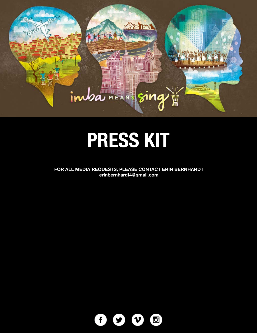### **MUTHER** ime MEAN

A KAA

HIIIIII **THILL UITE TINE** 

i i i i i i<br>Pondon ш

**THE HEAD** 

¥

**Misterfrage** 

ii kr

# PRESS KIT

FOR ALL MEDIA REQUESTS, PLEASE CONTACT ERIN BERNHARDT erinbernhardt4@gmail.com

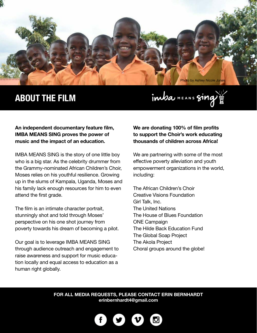

## **ABOUT THE FILM**

imba MEANS sing

#### **An independent documentary feature film, IMBA MEANS SING proves the power of music and the impact of an education.**

IMBA MEANS SING is the story of one little boy who is a big star. As the celebrity drummer from the Grammy-nominated African Children's Choir, Moses relies on his youthful resilience. Growing up in the slums of Kampala, Uganda, Moses and his family lack enough resources for him to even attend the first grade.

The film is an intimate character portrait, stunningly shot and told through Moses' perspective on his one shot journey from poverty towards his dream of becoming a pilot.

Our goal is to leverage IMBA MEANS SING through audience outreach and engagement to raise awareness and support for music education locally and equal access to education as a human right globally.

**We are donating 100% of film profits to support the Choir's work educating thousands of children across Africa!**

We are partnering with some of the most effective poverty alleviation and youth empowerment organizations in the world, including:

The African Children's Choir Creative Visions Foundation Girl Talk, Inc. The United Nations The House of Blues Foundation ONE Campaign The Hilde Back Education Fund The Global Soap Project The Akola Project Choral groups around the globe!

**FOR ALL MEDIA REQUESTS, PLEASE CONTACT ERIN BERNHARDT [erinbernhardt4@gmail.com](mailto:%20erinbernhardt4%40gmail.com?subject=PRESS%20REQUEST%3A%20IMBA)**

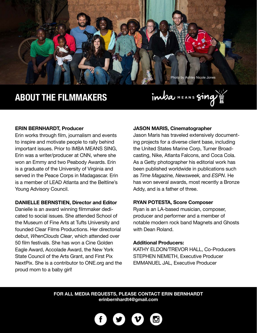

## **ABOUT THE FILMMAKERS**



#### **ERIN BERNHARDT, Producer**

Erin works through film, journalism and events to inspire and motivate people to rally behind important issues. Prior to IMBA MEANS SING, Erin was a writer/producer at CNN, where she won an Emmy and two Peabody Awards. Erin is a graduate of the University of Virginia and served in the Peace Corps in Madagascar. Erin is a member of LEAD Atlanta and the Beltline's Young Advisory Council.

#### **DANIELLE BERNSTIEN, Director and Editor**

Danielle is an award winning filmmaker dedicated to social issues. She attended School of the Museum of Fine Arts at Tufts University and founded Clear Films Productions. Her directorial debut, *WhenClouds Clear*, which attended over 50 film festivals. She has won a Cine Golden Eagle Award, Accolade Award, the New York State Council of the Arts Grant, and First Pix NextPix. She is a contributor to ONE.org and the proud mom to a baby girl!

#### **JASON MARIS, Cinematographer**

Jason Maris has traveled extensively documenting projects for a diverse client base, including the United States Marine Corp, Turner Broadcasting, Nike, Atlanta Falcons, and Coca Cola. As a Getty photographer his editorial work has been published worldwide in publications such as *Time Magazine, Newsweek,* and *ESPN*. He has won several awards, most recently a Bronze Addy, and is a father of three.

#### **RYAN POTESTA, Score Composer**

Ryan is an LA-based musician, composer, producer and performer and a member of notable modern rock band Magnets and Ghosts with Dean Roland.

#### **Additional Producers:**

KATHY ELDON/TREVOR HALL, Co-Producers STEPHEN NEMETH, Executive Producer EMMANUEL JAL, Executive Producer

#### **FOR ALL MEDIA REQUESTS, PLEASE CONTACT ERIN BERNHARDT [erinbernhardt4@gmail.com](mailto:%20erinbernhardt4%40gmail.com?subject=PRESS%20REQUEST%3A%20IMBA)**